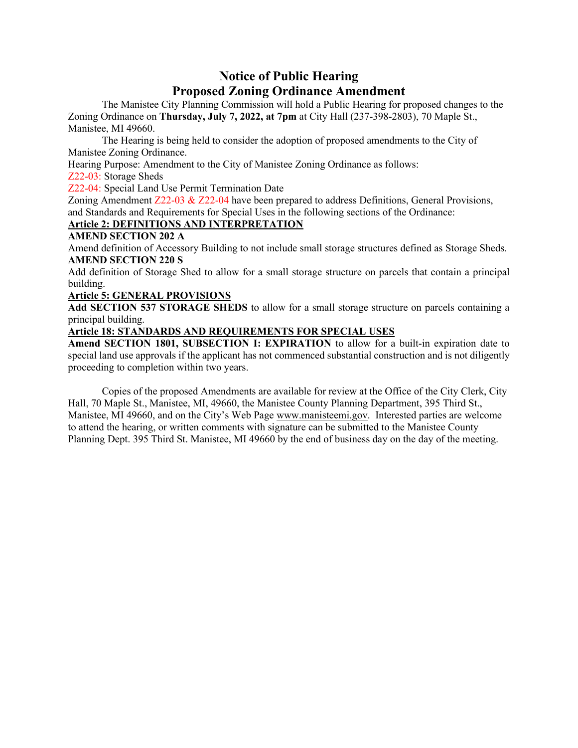## **Notice of Public Hearing Proposed Zoning Ordinance Amendment**

The Manistee City Planning Commission will hold a Public Hearing for proposed changes to the Zoning Ordinance on **Thursday, July 7, 2022, at 7pm** at City Hall (237-398-2803), 70 Maple St., Manistee, MI 49660.

The Hearing is being held to consider the adoption of proposed amendments to the City of Manistee Zoning Ordinance.

Hearing Purpose: Amendment to the City of Manistee Zoning Ordinance as follows:

Z22-03: Storage Sheds

Z22-04: Special Land Use Permit Termination Date

Zoning Amendment Z22-03 & Z22-04 have been prepared to address Definitions, General Provisions, and Standards and Requirements for Special Uses in the following sections of the Ordinance:

## **Article 2: DEFINITIONS AND INTERPRETATION**

## **AMEND SECTION 202 A**

Amend definition of Accessory Building to not include small storage structures defined as Storage Sheds. **AMEND SECTION 220 S**

Add definition of Storage Shed to allow for a small storage structure on parcels that contain a principal building.

## **Article 5: GENERAL PROVISIONS**

**Add SECTION 537 STORAGE SHEDS** to allow for a small storage structure on parcels containing a principal building.

## **Article 18: STANDARDS AND REQUIREMENTS FOR SPECIAL USES**

**Amend SECTION 1801, SUBSECTION I: EXPIRATION** to allow for a built-in expiration date to special land use approvals if the applicant has not commenced substantial construction and is not diligently proceeding to completion within two years.

Copies of the proposed Amendments are available for review at the Office of the City Clerk, City Hall, 70 Maple St., Manistee, MI, 49660, the Manistee County Planning Department, 395 Third St., Manistee, MI 49660, and on the City's Web Page [www.manisteemi.gov.](http://www.manisteemi.gov/) Interested parties are welcome to attend the hearing, or written comments with signature can be submitted to the Manistee County Planning Dept. 395 Third St. Manistee, MI 49660 by the end of business day on the day of the meeting.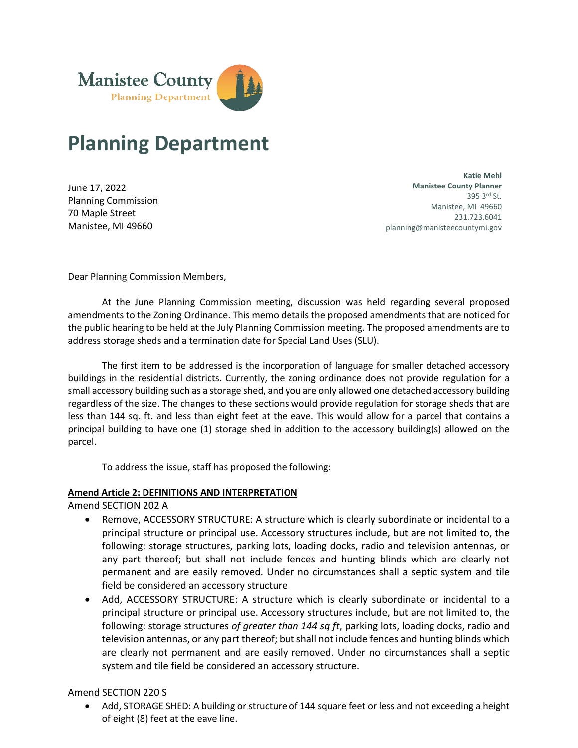

# **Planning Department**

June 17, 2022 Planning Commission 70 Maple Street Manistee, MI 49660

**Katie Mehl Manistee County Planner**  395 3rd St. Manistee, MI 49660 231.723.6041 planning@manisteecountymi.gov

Dear Planning Commission Members,

At the June Planning Commission meeting, discussion was held regarding several proposed amendments to the Zoning Ordinance. This memo details the proposed amendments that are noticed for the public hearing to be held at the July Planning Commission meeting. The proposed amendments are to address storage sheds and a termination date for Special Land Uses (SLU).

The first item to be addressed is the incorporation of language for smaller detached accessory buildings in the residential districts. Currently, the zoning ordinance does not provide regulation for a small accessory building such as a storage shed, and you are only allowed one detached accessory building regardless of the size. The changes to these sections would provide regulation for storage sheds that are less than 144 sq. ft. and less than eight feet at the eave. This would allow for a parcel that contains a principal building to have one (1) storage shed in addition to the accessory building(s) allowed on the parcel.

To address the issue, staff has proposed the following:

#### **Amend Article 2: DEFINITIONS AND INTERPRETATION**

Amend SECTION 202 A

- Remove, ACCESSORY STRUCTURE: A structure which is clearly subordinate or incidental to a principal structure or principal use. Accessory structures include, but are not limited to, the following: storage structures, parking lots, loading docks, radio and television antennas, or any part thereof; but shall not include fences and hunting blinds which are clearly not permanent and are easily removed. Under no circumstances shall a septic system and tile field be considered an accessory structure.
- Add, ACCESSORY STRUCTURE: A structure which is clearly subordinate or incidental to a principal structure or principal use. Accessory structures include, but are not limited to, the following: storage structures *of greater than 144 sq ft*, parking lots, loading docks, radio and television antennas, or any part thereof; but shall not include fences and hunting blinds which are clearly not permanent and are easily removed. Under no circumstances shall a septic system and tile field be considered an accessory structure.

#### Amend SECTION 220 S

• Add, STORAGE SHED: A building or structure of 144 square feet or less and not exceeding a height of eight (8) feet at the eave line.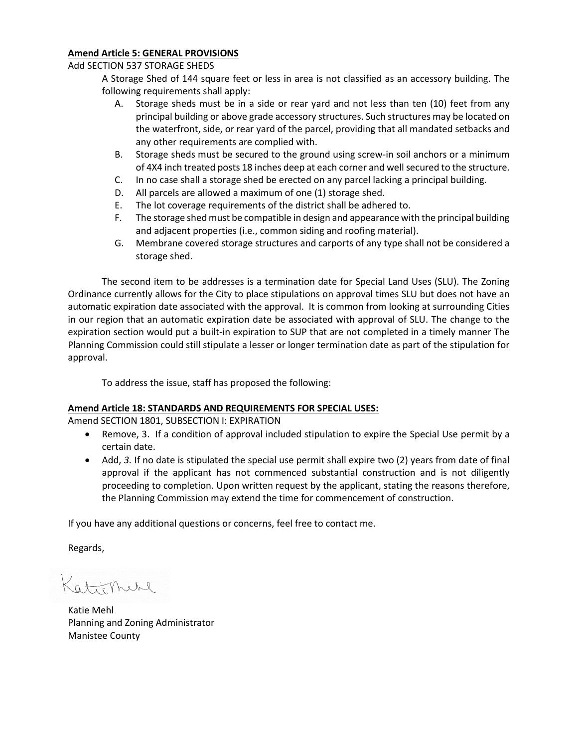#### **Amend Article 5: GENERAL PROVISIONS**

#### Add SECTION 537 STORAGE SHEDS

A Storage Shed of 144 square feet or less in area is not classified as an accessory building. The following requirements shall apply:

- A. Storage sheds must be in a side or rear yard and not less than ten (10) feet from any principal building or above grade accessory structures. Such structures may be located on the waterfront, side, or rear yard of the parcel, providing that all mandated setbacks and any other requirements are complied with.
- B. Storage sheds must be secured to the ground using screw-in soil anchors or a minimum of 4X4 inch treated posts 18 inches deep at each corner and well secured to the structure.
- C. In no case shall a storage shed be erected on any parcel lacking a principal building.
- D. All parcels are allowed a maximum of one (1) storage shed.
- E. The lot coverage requirements of the district shall be adhered to.
- F. The storage shed must be compatible in design and appearance with the principal building and adjacent properties (i.e., common siding and roofing material).
- G. Membrane covered storage structures and carports of any type shall not be considered a storage shed.

The second item to be addresses is a termination date for Special Land Uses (SLU). The Zoning Ordinance currently allows for the City to place stipulations on approval times SLU but does not have an automatic expiration date associated with the approval. It is common from looking at surrounding Cities in our region that an automatic expiration date be associated with approval of SLU. The change to the expiration section would put a built-in expiration to SUP that are not completed in a timely manner The Planning Commission could still stipulate a lesser or longer termination date as part of the stipulation for approval.

To address the issue, staff has proposed the following:

#### **Amend Article 18: STANDARDS AND REQUIREMENTS FOR SPECIAL USES:**

Amend SECTION 1801, SUBSECTION I: EXPIRATION

- Remove, 3. If a condition of approval included stipulation to expire the Special Use permit by a certain date.
- Add, *3.* If no date is stipulated the special use permit shall expire two (2) years from date of final approval if the applicant has not commenced substantial construction and is not diligently proceeding to completion. Upon written request by the applicant, stating the reasons therefore, the Planning Commission may extend the time for commencement of construction.

If you have any additional questions or concerns, feel free to contact me.

Regards,

Caticpheke

Katie Mehl Planning and Zoning Administrator Manistee County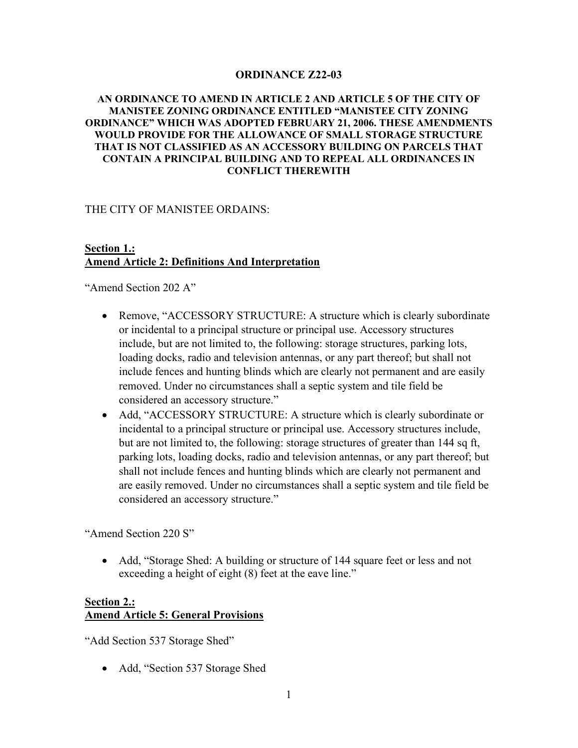## **ORDINANCE Z22-03**

## **AN ORDINANCE TO AMEND IN ARTICLE 2 AND ARTICLE 5 OF THE CITY OF MANISTEE ZONING ORDINANCE ENTITLED "MANISTEE CITY ZONING ORDINANCE" WHICH WAS ADOPTED FEBRUARY 21, 2006. THESE AMENDMENTS WOULD PROVIDE FOR THE ALLOWANCE OF SMALL STORAGE STRUCTURE THAT IS NOT CLASSIFIED AS AN ACCESSORY BUILDING ON PARCELS THAT CONTAIN A PRINCIPAL BUILDING AND TO REPEAL ALL ORDINANCES IN CONFLICT THEREWITH**

THE CITY OF MANISTEE ORDAINS:

## **Section 1.: Amend Article 2: Definitions And Interpretation**

"Amend Section 202 A"

- Remove, "ACCESSORY STRUCTURE: A structure which is clearly subordinate or incidental to a principal structure or principal use. Accessory structures include, but are not limited to, the following: storage structures, parking lots, loading docks, radio and television antennas, or any part thereof; but shall not include fences and hunting blinds which are clearly not permanent and are easily removed. Under no circumstances shall a septic system and tile field be considered an accessory structure."
- Add, "ACCESSORY STRUCTURE: A structure which is clearly subordinate or incidental to a principal structure or principal use. Accessory structures include, but are not limited to, the following: storage structures of greater than 144 sq ft, parking lots, loading docks, radio and television antennas, or any part thereof; but shall not include fences and hunting blinds which are clearly not permanent and are easily removed. Under no circumstances shall a septic system and tile field be considered an accessory structure."

"Amend Section 220 S"

• Add, "Storage Shed: A building or structure of 144 square feet or less and not exceeding a height of eight (8) feet at the eave line."

## **Section 2.: Amend Article 5: General Provisions**

"Add Section 537 Storage Shed"

• Add, "Section 537 Storage Shed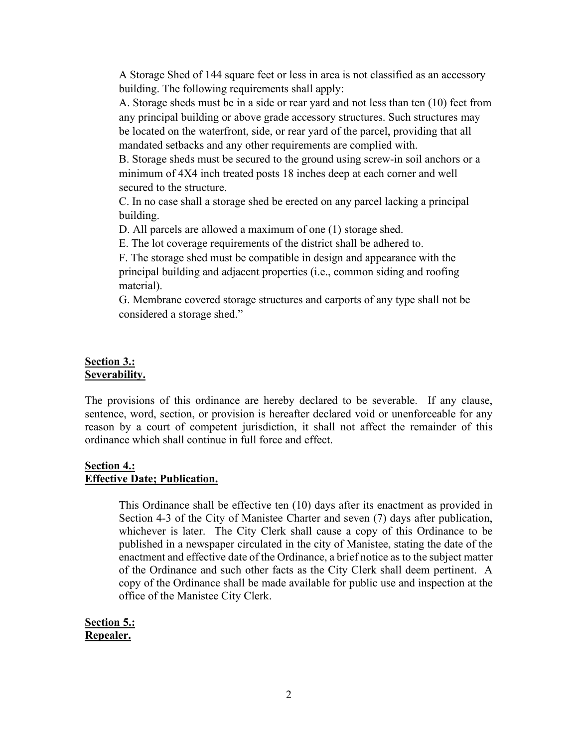A Storage Shed of 144 square feet or less in area is not classified as an accessory building. The following requirements shall apply:

A. Storage sheds must be in a side or rear yard and not less than ten (10) feet from any principal building or above grade accessory structures. Such structures may be located on the waterfront, side, or rear yard of the parcel, providing that all mandated setbacks and any other requirements are complied with.

B. Storage sheds must be secured to the ground using screw-in soil anchors or a minimum of 4X4 inch treated posts 18 inches deep at each corner and well secured to the structure.

C. In no case shall a storage shed be erected on any parcel lacking a principal building.

D. All parcels are allowed a maximum of one (1) storage shed.

E. The lot coverage requirements of the district shall be adhered to.

F. The storage shed must be compatible in design and appearance with the principal building and adjacent properties (i.e., common siding and roofing material).

G. Membrane covered storage structures and carports of any type shall not be considered a storage shed."

## **Section 3.: Severability.**

The provisions of this ordinance are hereby declared to be severable. If any clause, sentence, word, section, or provision is hereafter declared void or unenforceable for any reason by a court of competent jurisdiction, it shall not affect the remainder of this ordinance which shall continue in full force and effect.

## **Section 4.: Effective Date; Publication.**

This Ordinance shall be effective ten (10) days after its enactment as provided in Section 4-3 of the City of Manistee Charter and seven (7) days after publication, whichever is later. The City Clerk shall cause a copy of this Ordinance to be published in a newspaper circulated in the city of Manistee, stating the date of the enactment and effective date of the Ordinance, a brief notice as to the subject matter of the Ordinance and such other facts as the City Clerk shall deem pertinent. A copy of the Ordinance shall be made available for public use and inspection at the office of the Manistee City Clerk.

**Section 5.: Repealer.**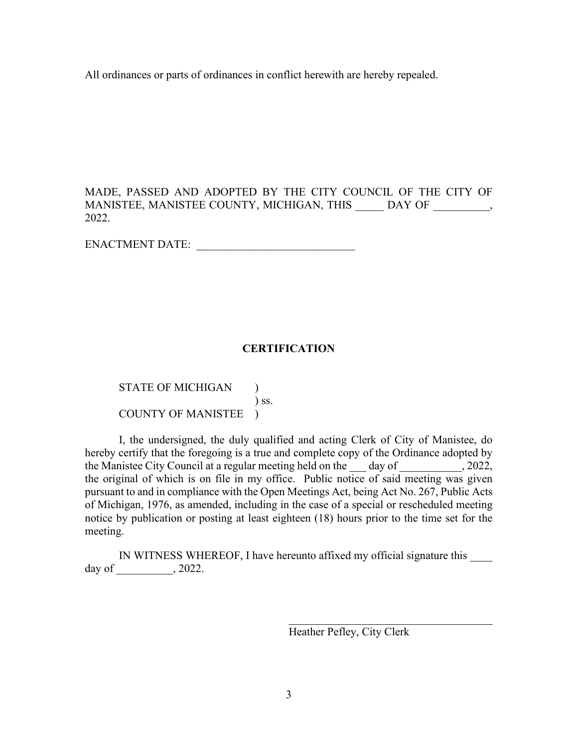All ordinances or parts of ordinances in conflict herewith are hereby repealed.

MADE, PASSED AND ADOPTED BY THE CITY COUNCIL OF THE CITY OF MANISTEE, MANISTEE COUNTY, MICHIGAN, THIS \_\_\_\_\_ DAY OF \_\_\_\_\_\_\_\_, 2022.

ENACTMENT DATE:

## **CERTIFICATION**

STATE OF MICHIGAN ) ) ss. COUNTY OF MANISTEE )

I, the undersigned, the duly qualified and acting Clerk of City of Manistee, do hereby certify that the foregoing is a true and complete copy of the Ordinance adopted by the Manistee City Council at a regular meeting held on the day of , 2022, the original of which is on file in my office. Public notice of said meeting was given pursuant to and in compliance with the Open Meetings Act, being Act No. 267, Public Acts of Michigan, 1976, as amended, including in the case of a special or rescheduled meeting notice by publication or posting at least eighteen (18) hours prior to the time set for the meeting.

IN WITNESS WHEREOF, I have hereunto affixed my official signature this day of \_\_\_\_\_\_\_\_\_\_, 2022.

> $\overline{\phantom{a}}$ Heather Pefley, City Clerk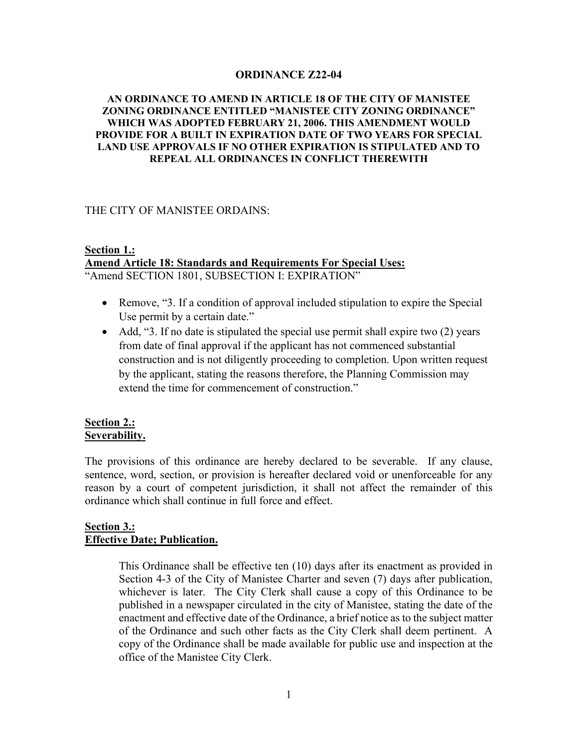## **ORDINANCE Z22-04**

### **AN ORDINANCE TO AMEND IN ARTICLE 18 OF THE CITY OF MANISTEE ZONING ORDINANCE ENTITLED "MANISTEE CITY ZONING ORDINANCE" WHICH WAS ADOPTED FEBRUARY 21, 2006. THIS AMENDMENT WOULD PROVIDE FOR A BUILT IN EXPIRATION DATE OF TWO YEARS FOR SPECIAL LAND USE APPROVALS IF NO OTHER EXPIRATION IS STIPULATED AND TO REPEAL ALL ORDINANCES IN CONFLICT THEREWITH**

#### THE CITY OF MANISTEE ORDAINS:

## **Section 1.: Amend Article 18: Standards and Requirements For Special Uses:**

"Amend SECTION 1801, SUBSECTION I: EXPIRATION"

- Remove, "3. If a condition of approval included stipulation to expire the Special Use permit by a certain date."
- Add, "3. If no date is stipulated the special use permit shall expire two (2) years from date of final approval if the applicant has not commenced substantial construction and is not diligently proceeding to completion. Upon written request by the applicant, stating the reasons therefore, the Planning Commission may extend the time for commencement of construction."

## **Section 2.: Severability.**

The provisions of this ordinance are hereby declared to be severable. If any clause, sentence, word, section, or provision is hereafter declared void or unenforceable for any reason by a court of competent jurisdiction, it shall not affect the remainder of this ordinance which shall continue in full force and effect.

## **Section 3.: Effective Date; Publication.**

This Ordinance shall be effective ten (10) days after its enactment as provided in Section 4-3 of the City of Manistee Charter and seven (7) days after publication, whichever is later. The City Clerk shall cause a copy of this Ordinance to be published in a newspaper circulated in the city of Manistee, stating the date of the enactment and effective date of the Ordinance, a brief notice as to the subject matter of the Ordinance and such other facts as the City Clerk shall deem pertinent. A copy of the Ordinance shall be made available for public use and inspection at the office of the Manistee City Clerk.